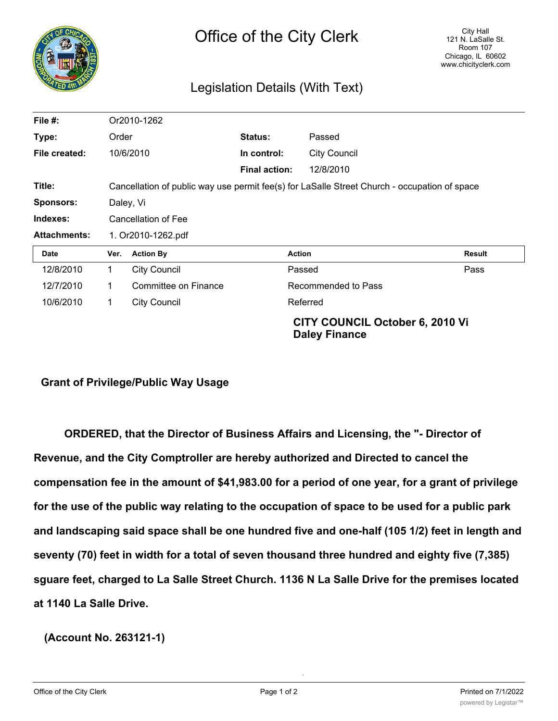

## Legislation Details (With Text)

| File $#$ :          | Or2010-1262                                                                                  |                      |                      |                                                                |               |
|---------------------|----------------------------------------------------------------------------------------------|----------------------|----------------------|----------------------------------------------------------------|---------------|
| Type:               | Order                                                                                        |                      | Status:              | Passed                                                         |               |
| File created:       | 10/6/2010                                                                                    |                      | In control:          | <b>City Council</b>                                            |               |
|                     |                                                                                              |                      | <b>Final action:</b> | 12/8/2010                                                      |               |
| Title:              | Cancellation of public way use permit fee(s) for LaSalle Street Church - occupation of space |                      |                      |                                                                |               |
| <b>Sponsors:</b>    | Daley, Vi                                                                                    |                      |                      |                                                                |               |
| Indexes:            | Cancellation of Fee                                                                          |                      |                      |                                                                |               |
| <b>Attachments:</b> | 1. Or2010-1262.pdf                                                                           |                      |                      |                                                                |               |
| Date                | Ver.                                                                                         | <b>Action By</b>     | <b>Action</b>        |                                                                | <b>Result</b> |
| 12/8/2010           | 1                                                                                            | <b>City Council</b>  |                      | Passed                                                         | Pass          |
| 12/7/2010           | 1                                                                                            | Committee on Finance |                      | Recommended to Pass                                            |               |
| 10/6/2010           | 1                                                                                            | <b>City Council</b>  |                      | Referred                                                       |               |
|                     |                                                                                              |                      |                      | <b>CITY COUNCIL October 6, 2010 Vi</b><br><b>Daley Finance</b> |               |

## **Grant of Privilege/Public Way Usage**

**ORDERED, that the Director of Business Affairs and Licensing, the "- Director of Revenue, and the City Comptroller are hereby authorized and Directed to cancel the compensation fee in the amount of \$41,983.00 for a period of one year, for a grant of privilege for the use of the public way relating to the occupation of space to be used for a public park and landscaping said space shall be one hundred five and one-half (105 1/2) feet in length and seventy (70) feet in width for a total of seven thousand three hundred and eighty five (7,385) sguare feet, charged to La Salle Street Church. 1136 N La Salle Drive for the premises located at 1140 La Salle Drive.**

**(Account No. 263121-1)**